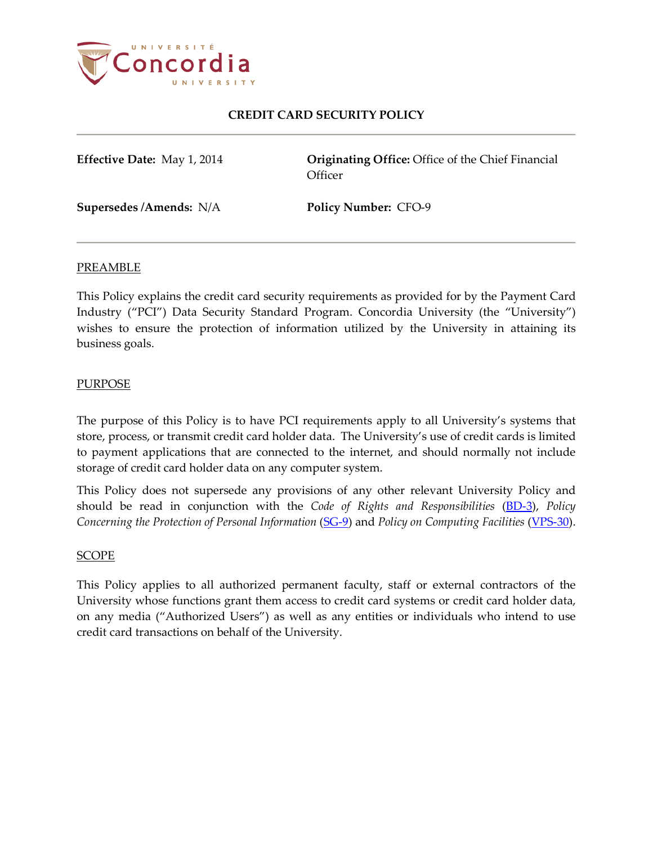

**Effective Date:** May 1, 2014 **Originating Office:** Office of the Chief Financial **Officer** 

**Supersedes /Amends:** N/A **Policy Number:** CFO-9

### PREAMBLE

This Policy explains the credit card security requirements as provided for by the Payment Card Industry ("PCI") Data Security Standard Program. Concordia University (the "University") wishes to ensure the protection of information utilized by the University in attaining its business goals.

### PURPOSE

The purpose of this Policy is to have PCI requirements apply to all University's systems that store, process, or transmit credit card holder data. The University's use of credit cards is limited to payment applications that are connected to the internet, and should normally not include storage of credit card holder data on any computer system.

This Policy does not supersede any provisions of any other relevant University Policy and should be read in conjunction with the *Code of Rights and Responsibilities* [\(BD-3\)](http://www.concordia.ca/content/dam/common/docs/policies/official-policies/BD-3.pdf), *Policy Concerning the Protection of Personal Information [\(SG-9\)](http://www.concordia.ca/content/dam/common/docs/policies/official-policies/SG-9.pdf)* and *Policy on Computing Facilities [\(VPS-30\)](http://www.concordia.ca/content/dam/common/docs/policies/official-policies/VPS-30.pdf).* 

### SCOPE

This Policy applies to all authorized permanent faculty, staff or external contractors of the University whose functions grant them access to credit card systems or credit card holder data, on any media ("Authorized Users") as well as any entities or individuals who intend to use credit card transactions on behalf of the University.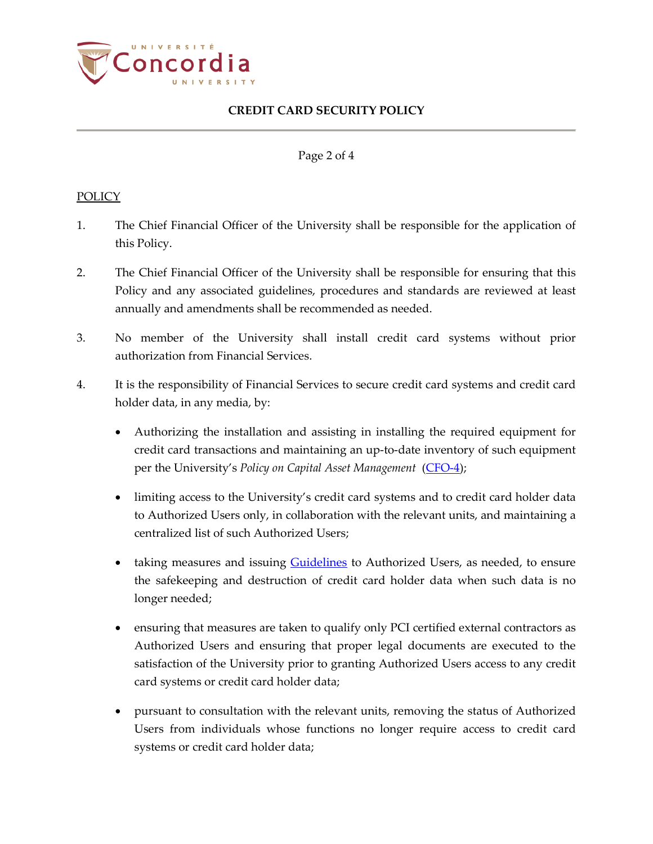

Page 2 of 4

### POLICY

- 1. The Chief Financial Officer of the University shall be responsible for the application of this Policy.
- 2. The Chief Financial Officer of the University shall be responsible for ensuring that this Policy and any associated guidelines, procedures and standards are reviewed at least annually and amendments shall be recommended as needed.
- 3. No member of the University shall install credit card systems without prior authorization from Financial Services.
- 4. It is the responsibility of Financial Services to secure credit card systems and credit card holder data, in any media, by:
	- Authorizing the installation and assisting in installing the required equipment for credit card transactions and maintaining an up-to-date inventory of such equipment per the University's *Policy on Capital Asset Management* [\(CFO-4\)](http://www.concordia.ca/content/dam/common/docs/policies/official-policies/CFO-4.pdf);
	- limiting access to the University's credit card systems and to credit card holder data to Authorized Users only, in collaboration with the relevant units, and maintaining a centralized list of such Authorized Users;
	- taking measures and issuing **Guidelines** to Authorized Users, as needed, to ensure the safekeeping and destruction of credit card holder data when such data is no longer needed;
	- ensuring that measures are taken to qualify only PCI certified external contractors as Authorized Users and ensuring that proper legal documents are executed to the satisfaction of the University prior to granting Authorized Users access to any credit card systems or credit card holder data;
	- pursuant to consultation with the relevant units, removing the status of Authorized Users from individuals whose functions no longer require access to credit card systems or credit card holder data;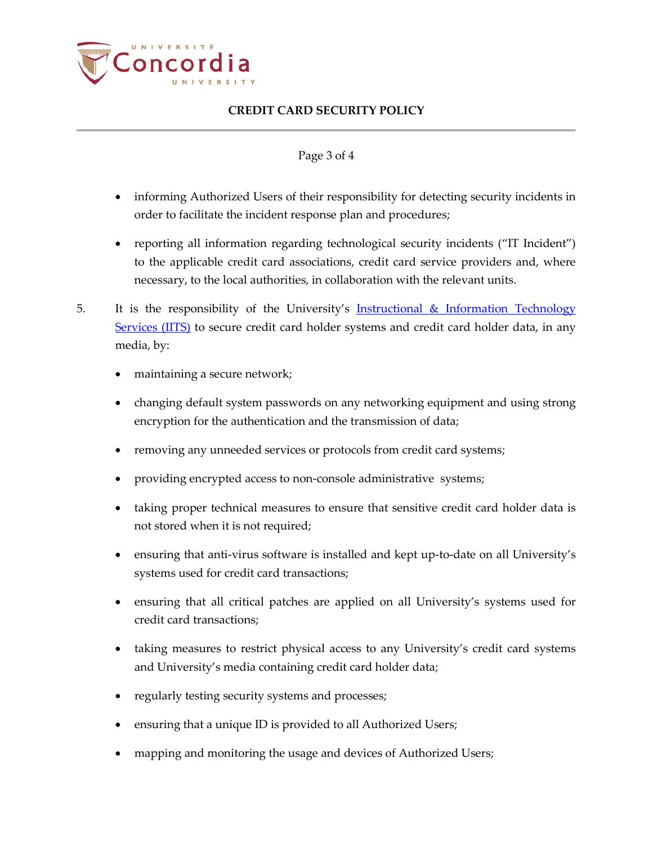

## Page 3 of 4

- informing Authorized Users of their responsibility for detecting security incidents in order to facilitate the incident response plan and procedures;
- reporting all information regarding technological security incidents ("IT Incident") to the applicable credit card associations, credit card service providers and, where necessary, to the local authorities, in collaboration with the relevant units.
- 5. It is the responsibility of the University's **[Instructional & Information](http://www.concordia.ca/iits.html) Technology** [Services \(IITS\)](http://www.concordia.ca/iits.html) to secure credit card holder systems and credit card holder data, in any media, by:
	- maintaining a secure network;
	- changing default system passwords on any networking equipment and using strong encryption for the authentication and the transmission of data;
	- removing any unneeded services or protocols from credit card systems;
	- providing encrypted access to non-console administrative systems;
	- taking proper technical measures to ensure that sensitive credit card holder data is not stored when it is not required;
	- ensuring that anti-virus software is installed and kept up-to-date on all University's systems used for credit card transactions;
	- ensuring that all critical patches are applied on all University's systems used for credit card transactions;
	- taking measures to restrict physical access to any University's credit card systems and University's media containing credit card holder data;
	- regularly testing security systems and processes;
	- ensuring that a unique ID is provided to all Authorized Users;
	- mapping and monitoring the usage and devices of Authorized Users;